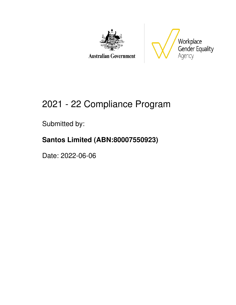

**Australian Government** 



# 2021 - 22 Compliance Program

Submitted by:

### **Santos Limited (ABN:80007550923)**

Date: 2022-06-06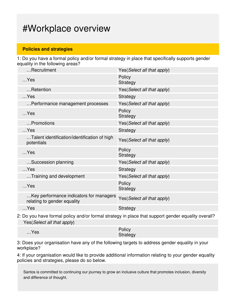### #Workplace overview

#### **Policies and strategies**

1: Do you have a formal policy and/or formal strategy in place that specifically supports gender equality in the following areas?

| Recruitment                                                            | Yes(Select all that apply)  |
|------------------------------------------------------------------------|-----------------------------|
| $$ Yes                                                                 | Policy<br>Strategy          |
| Retention                                                              | Yes(Select all that apply)  |
| $$ Yes                                                                 | Strategy                    |
| Performance management processes                                       | Yes (Select all that apply) |
| $$ Yes                                                                 | Policy<br>Strategy          |
| Promotions                                                             | Yes (Select all that apply) |
| $$ Yes                                                                 | Strategy                    |
| Talent identification/identification of high<br>potentials             | Yes(Select all that apply)  |
| $$ Yes                                                                 | Policy<br>Strategy          |
| Succession planning                                                    | Yes (Select all that apply) |
| $$ Yes                                                                 | Strategy                    |
| Training and development                                               | Yes (Select all that apply) |
| $$ Yes                                                                 | Policy<br>Strategy          |
| Key performance indicators for managers<br>relating to gender equality | Yes(Select all that apply)  |
| $$ Yes                                                                 | <b>Strategy</b>             |
|                                                                        |                             |

2: Do you have formal policy and/or formal strategy in place that support gender equality overall? Yes(Select all that apply)

| $$ Yes | Policy   |
|--------|----------|
|        | Strategy |

3: Does your organisation have any of the following targets to address gender equality in your workplace?

4: If your organisation would like to provide additional information relating to your gender equality policies and strategies, please do so below.

Santos is committed to continuing our journey to grow an inclusive culture that promotes inclusion, diversity and difference of thought.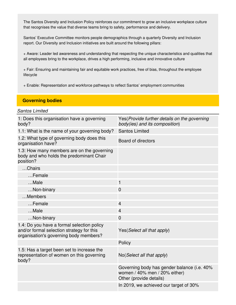The Santos Diversity and Inclusion Policy reinforces our commitment to grow an inclusive workplace culture that recognises the value that diverse teams bring to safety, performance and delivery.

Santos' Executive Committee monitors people demographics through a quarterly Diversity and Inclusion report. Our Diversity and Inclusion initiatives are built around the following pillars:

+ Aware: Leader led awareness and understanding that respecting the unique characteristics and qualities that all employees bring to the workplace, drives a high performing, inclusive and innovative culture

+ Fair: Ensuring and maintaining fair and equitable work practices, free of bias, throughout the employee lifecycle

+ Enable: Representation and workforce pathways to reflect Santos' employment communities

#### **Governing bodies**

#### *Santos Limited*

| 1: Does this organisation have a governing<br>body?                                                                               | Yes(Provide further details on the governing<br>body(ies) and its composition)                          |
|-----------------------------------------------------------------------------------------------------------------------------------|---------------------------------------------------------------------------------------------------------|
| 1.1: What is the name of your governing body?                                                                                     | <b>Santos Limited</b>                                                                                   |
| 1.2: What type of governing body does this<br>organisation have?                                                                  | Board of directors                                                                                      |
| 1.3: How many members are on the governing<br>body and who holds the predominant Chair<br>position?                               |                                                                                                         |
| Chairs                                                                                                                            |                                                                                                         |
| Female                                                                                                                            |                                                                                                         |
| Male                                                                                                                              | $\mathbf{1}$                                                                                            |
| Non-binary                                                                                                                        | $\overline{0}$                                                                                          |
| Members                                                                                                                           |                                                                                                         |
| Female                                                                                                                            | $\overline{4}$                                                                                          |
| Male                                                                                                                              | $\overline{4}$                                                                                          |
| Non-binary                                                                                                                        | $\overline{0}$                                                                                          |
| 1.4: Do you have a formal selection policy<br>and/or formal selection strategy for this<br>organisation's governing body members? | Yes (Select all that apply)                                                                             |
|                                                                                                                                   | Policy                                                                                                  |
| 1.5: Has a target been set to increase the<br>representation of women on this governing<br>body?                                  | No (Select all that apply)                                                                              |
|                                                                                                                                   | Governing body has gender balance (i.e. 40%<br>women / 40% men / 20% either)<br>Other (provide details) |
|                                                                                                                                   | In 2019, we achieved our target of 30%                                                                  |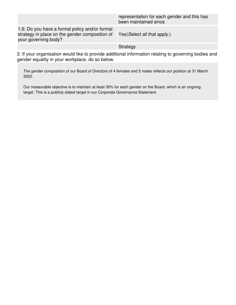|                                                                                                                          | representation for each gender and this has<br>been maintained since |
|--------------------------------------------------------------------------------------------------------------------------|----------------------------------------------------------------------|
| 1.6: Do you have a formal policy and/or formal<br>strategy in place on the gender composition of<br>your governing body? | Yes (Select all that apply.)                                         |
|                                                                                                                          | Strategy                                                             |

2: If your organisation would like to provide additional information relating to governing bodies and gender equality in your workplace, do so below.

The gender composition of our Board of Directors of 4 females and 5 males reflects our position at 31 March 2022.

Our measurable objective is to maintain at least 30% for each gender on the Board, which is an ongoing target. This is a publicly stated target in our Corporate Governance Statement.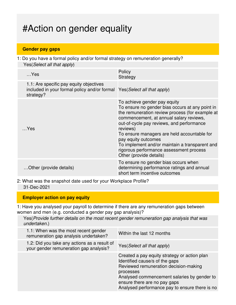## #Action on gender equality

#### **Gender pay gaps**

1: Do you have a formal policy and/or formal strategy on remuneration generally? Yes(Select all that apply)

| $$ Yes                                                                                               | Policy<br>Strategy                                                                                                                                                                                                                                                                                                                                                                                                                   |
|------------------------------------------------------------------------------------------------------|--------------------------------------------------------------------------------------------------------------------------------------------------------------------------------------------------------------------------------------------------------------------------------------------------------------------------------------------------------------------------------------------------------------------------------------|
| 1.1: Are specific pay equity objectives<br>included in your formal policy and/or formal<br>strategy? | Yes (Select all that apply)                                                                                                                                                                                                                                                                                                                                                                                                          |
| $$ Yes                                                                                               | To achieve gender pay equity<br>To ensure no gender bias occurs at any point in<br>the remuneration review process (for example at<br>commencement, at annual salary reviews,<br>out-of-cycle pay reviews, and performance<br>reviews)<br>To ensure managers are held accountable for<br>pay equity outcomes<br>To implement and/or maintain a transparent and<br>rigorous performance assessment process<br>Other (provide details) |
| Other (provide details)                                                                              | To ensure no gender bias occurs when<br>determining performance ratings and annual<br>short term incentive outcomes                                                                                                                                                                                                                                                                                                                  |

2: What was the snapshot date used for your Workplace Profile? 31-Dec-2021

#### **Employer action on pay equity**

1: Have you analysed your payroll to determine if there are any remuneration gaps between women and men (e.g. conducted a gender pay gap analysis)?

Yes(*Provide further details on the most recent gender remuneration gap analysis that was undertaken.*)

| 1.1: When was the most recent gender<br>remuneration gap analysis undertaken?          | Within the last 12 months                                                                                                                                                                                                                                             |
|----------------------------------------------------------------------------------------|-----------------------------------------------------------------------------------------------------------------------------------------------------------------------------------------------------------------------------------------------------------------------|
| 1.2: Did you take any actions as a result of<br>your gender remuneration gap analysis? | Yes (Select all that apply)                                                                                                                                                                                                                                           |
|                                                                                        | Created a pay equity strategy or action plan<br>Identified cause/s of the gaps<br>Reviewed remuneration decision-making<br>processes<br>Analysed commencement salaries by gender to<br>ensure there are no pay gaps<br>Analysed performance pay to ensure there is no |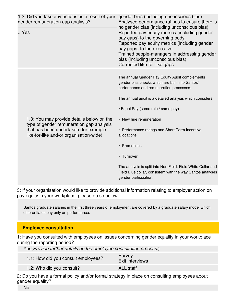| 1.2: Did you take any actions as a result of your<br>gender remuneration gap analysis?<br>Yes                                                                             | gender bias (including unconscious bias)<br>Analysed performance ratings to ensure there is<br>no gender bias (including unconscious bias)<br>Reported pay equity metrics (including gender<br>pay gaps) to the governing body<br>Reported pay equity metrics (including gender<br>pay gaps) to the executive<br>Trained people-managers in addressing gender<br>bias (including unconscious bias)<br>Corrected like-for-like gaps                                                                                              |
|---------------------------------------------------------------------------------------------------------------------------------------------------------------------------|---------------------------------------------------------------------------------------------------------------------------------------------------------------------------------------------------------------------------------------------------------------------------------------------------------------------------------------------------------------------------------------------------------------------------------------------------------------------------------------------------------------------------------|
| 1.3: You may provide details below on the<br>type of gender remuneration gap analysis<br>that has been undertaken (for example<br>like-for-like and/or organisation-wide) | The annual Gender Pay Equity Audit complements<br>gender bias checks which are built into Santos'<br>performance and remuneration processes.<br>The annual audit is a detailed analysis which considers:<br>• Equal Pay (same role / same pay)<br>• New hire remuneration<br>• Performance ratings and Short-Term Incentive<br>allocations<br>• Promotions<br>• Turnover<br>The analysis is split into Non Field, Field White Collar and<br>Field Blue collar, consistent with the way Santos analyses<br>gender participation. |

3: If your organisation would like to provide additional information relating to employer action on pay equity in your workplace, please do so below.

Santos graduate salaries in the first three years of employment are covered by a graduate salary model which differentiates pay only on performance.

#### **Employee consultation**

1: Have you consulted with employees on issues concerning gender equality in your workplace during the reporting period?

Yes(Provide further details on the employee consultation process.)

| 1.1: How did you consult employees? | Survey<br><b>Exit interviews</b> |
|-------------------------------------|----------------------------------|
| 1.2: Who did you consult?           | <b>ALL</b> staff                 |

2: Do you have a formal policy and/or formal strategy in place on consulting employees about gender equality?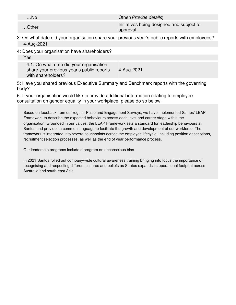| …No   | Other ( <i>Provide details</i> )                      |
|-------|-------------------------------------------------------|
| Other | Initiatives being designed and subject to<br>approval |

3: On what date did your organisation share your previous year's public reports with employees? 4-Aug-2021

4: Does your organisation have shareholders?

Yes

4.1: On what date did your organisation share your previous year's public reports with shareholders? 4-Aug-2021

5: Have you shared previous Executive Summary and Benchmark reports with the governing body?

6: If your organisation would like to provide additional information relating to employee consultation on gender equality in your workplace, please do so below.

Based on feedback from our regular Pulse and Engagement Surveys, we have implemented Santos' LEAP Framework to describe the expected behaviours across each level and career stage within the organisation. Grounded in our values, the LEAP Framework sets a standard for leadership behaviours at Santos and provides a common language to facilitate the growth and development of our workforce. The framework is integrated into several touchpoints across the employee lifecycle, including position descriptions, recruitment selection processes, as well as the end of year performance process.

Our leadership programs include a program on unconscious bias.

In 2021 Santos rolled out company-wide cultural awareness training bringing into focus the importance of recognising and respecting different cultures and beliefs as Santos expands its operational footprint across Australia and south-east Asia.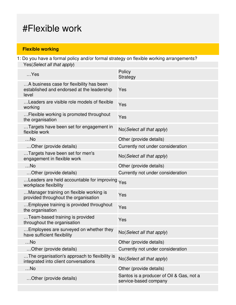### #Flexible work

### **Flexible working**

1: Do you have a formal policy and/or formal strategy on flexible working arrangements? Yes(Select all that apply)

| $$ Yes                                                                                          | Policy<br>Strategy                       |
|-------------------------------------------------------------------------------------------------|------------------------------------------|
| A business case for flexibility has been<br>established and endorsed at the leadership<br>level | Yes                                      |
| Leaders are visible role models of flexible<br>working                                          | Yes                                      |
| Flexible working is promoted throughout<br>the organisation                                     | Yes                                      |
| Targets have been set for engagement in<br>flexible work                                        | No(Select all that apply)                |
| $$ No                                                                                           | Other (provide details)                  |
| Other (provide details)                                                                         | Currently not under consideration        |
| Targets have been set for men's<br>engagement in flexible work                                  | No(Select all that apply)                |
| $$ No                                                                                           | Other (provide details)                  |
| Other (provide details)                                                                         | Currently not under consideration        |
| Leaders are held accountable for improving<br>workplace flexibility                             | Yes                                      |
| Manager training on flexible working is<br>provided throughout the organisation                 | Yes                                      |
| Employee training is provided throughout<br>the organisation                                    | Yes                                      |
| Team-based training is provided<br>throughout the organisation                                  | Yes                                      |
| Employees are surveyed on whether they<br>have sufficient flexibility                           | No(Select all that apply)                |
| $$ No                                                                                           | Other (provide details)                  |
| Other (provide details)                                                                         | Currently not under consideration        |
| The organisation's approach to flexibility is<br>integrated into client conversations           | No(Select all that apply)                |
| $$ No                                                                                           | Other (provide details)                  |
| Other (provide details)                                                                         | Santos is a producer of Oil & Gas, not a |
|                                                                                                 | service-based company                    |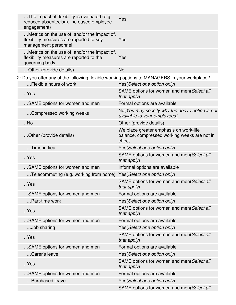| The impact of flexibility is evaluated (e.g.<br>reduced absenteeism, increased employee<br>engagement)           | Yes                                                                                              |
|------------------------------------------------------------------------------------------------------------------|--------------------------------------------------------------------------------------------------|
| Metrics on the use of, and/or the impact of,<br>flexibility measures are reported to key<br>management personnel | Yes                                                                                              |
| Metrics on the use of, and/or the impact of,<br>flexibility measures are reported to the<br>governing body       | Yes                                                                                              |
| Other (provide details)                                                                                          | <b>No</b>                                                                                        |
| 2: Do you offer any of the following flexible working options to MANAGERS in your workplace?                     |                                                                                                  |
| Flexible hours of work                                                                                           | Yes(Select one option only)                                                                      |
| $$ Yes                                                                                                           | SAME options for women and men(Select all<br>that apply)                                         |
| SAME options for women and men                                                                                   | Formal options are available                                                                     |
| Compressed working weeks                                                                                         | No(You may specify why the above option is not<br>available to your employees.)                  |
| $$ No                                                                                                            | Other (provide details)                                                                          |
| Other (provide details)                                                                                          | We place greater emphasis on work-life<br>balance, compressed working weeks are not in<br>effect |
| Time-in-lieu                                                                                                     | Yes (Select one option only)                                                                     |
| $$ Yes                                                                                                           | SAME options for women and men(Select all<br>that apply)                                         |
| SAME options for women and men                                                                                   | Informal options are available                                                                   |
| Telecommuting (e.g. working from home)                                                                           | Yes(Select one option only)                                                                      |
| $$ Yes                                                                                                           | SAME options for women and men(Select all<br>that apply)                                         |
| SAME options for women and men                                                                                   | Formal options are available                                                                     |
| Part-time work                                                                                                   | Yes(Select one option only)                                                                      |
| $$ Yes                                                                                                           | SAME options for women and men(Select all<br>that apply)                                         |
| SAME options for women and men                                                                                   | Formal options are available                                                                     |
| Job sharing                                                                                                      | Yes(Select one option only)                                                                      |
| $$ Yes                                                                                                           | SAME options for women and men(Select all<br>that apply)                                         |
| SAME options for women and men                                                                                   | Formal options are available                                                                     |
| Carer's leave                                                                                                    | Yes(Select one option only)                                                                      |
| $$ Yes                                                                                                           | SAME options for women and men(Select all<br>that apply)                                         |
| SAME options for women and men                                                                                   | Formal options are available                                                                     |
| Purchased leave                                                                                                  | Yes(Select one option only)                                                                      |
|                                                                                                                  | SAME options for women and men(Select all                                                        |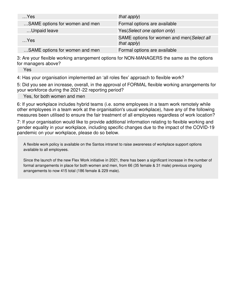| $$ Yes                         | that $apply$ )                                              |
|--------------------------------|-------------------------------------------------------------|
| SAME options for women and men | Formal options are available                                |
| Unpaid leave                   | Yes (Select one option only)                                |
| $$ Yes                         | SAME options for women and men(Select all<br>that $apply$ ) |
| SAME options for women and men | Formal options are available                                |

3: Are your flexible working arrangement options for NON-MANAGERS the same as the options for managers above?

Yes

4: Has your organisation implemented an 'all roles flex' approach to flexible work?

5: Did you see an increase, overall, in the approval of FORMAL flexible working arrangements for your workforce during the 2021-22 reporting period?

Yes, for both women and men

6: If your workplace includes hybrid teams (i.e. some employees in a team work remotely while other employees in a team work at the organisation's usual workplace), have any of the following measures been utilised to ensure the fair treatment of all employees regardless of work location?

7: If your organisation would like to provide additional information relating to flexible working and gender equality in your workplace, including specific changes due to the impact of the COVID-19 pandemic on your workplace, please do so below.

A flexible work policy is available on the Santos intranet to raise awareness of workplace support options available to all employees.

Since the launch of the new Flex Work initiative in 2021, there has been a significant increase in the number of formal arrangements in place for both women and men, from 66 (35 female & 31 male) previous ongoing arrangements to now 415 total (186 female & 229 male).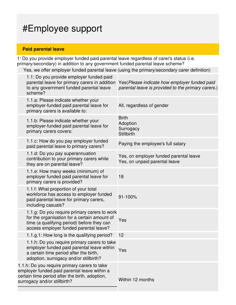## #Employee support

### **Paid parental leave**

1: Do you provide employer funded paid parental leave regardless of carer's status (i.e. primary/secondary) in addition to any government funded parental leave scheme?

Yes, we offer employer funded parental leave (using the primary/secondary carer definition)

|                                                                                                                                                                                | 1.1: Do you provide employer funded paid<br>parental leave for primary carers in addition<br>to any government funded parental leave<br>scheme?                                      | Yes (Please indicate how employer funded paid<br>parental leave is provided to the primary carers.) |
|--------------------------------------------------------------------------------------------------------------------------------------------------------------------------------|--------------------------------------------------------------------------------------------------------------------------------------------------------------------------------------|-----------------------------------------------------------------------------------------------------|
|                                                                                                                                                                                | 1.1.a: Please indicate whether your<br>employer-funded paid parental leave for<br>primary carers is available to:                                                                    | All, regardless of gender                                                                           |
|                                                                                                                                                                                | 1.1.b: Please indicate whether your<br>employer-funded paid parental leave for<br>primary carers covers:                                                                             | <b>Birth</b><br>Adoption<br>Surrogacy<br><b>Stillbirth</b>                                          |
|                                                                                                                                                                                | 1.1.c: How do you pay employer funded<br>paid parental leave to primary carers?                                                                                                      | Paying the employee's full salary                                                                   |
|                                                                                                                                                                                | 1.1.d: Do you pay superannuation<br>contribution to your primary carers while<br>they are on parental leave?                                                                         | Yes, on employer funded parental leave<br>Yes, on unpaid parental leave                             |
|                                                                                                                                                                                | 1.1.e: How many weeks (minimum) of<br>employer funded paid parental leave for<br>primary carers is provided?                                                                         | 18                                                                                                  |
|                                                                                                                                                                                | 1.1.f: What proportion of your total<br>workforce has access to employer funded<br>paid parental leave for primary carers,<br>including casuals?                                     | 91-100%                                                                                             |
|                                                                                                                                                                                | 1.1.g: Do you require primary carers to work<br>for the organisation for a certain amount of<br>time (a qualifying period) before they can<br>access employer funded parental leave? | Yes                                                                                                 |
|                                                                                                                                                                                | 1.1.g.1: How long is the qualifying period?                                                                                                                                          | 12                                                                                                  |
|                                                                                                                                                                                | 1.1.h: Do you require primary carers to take<br>employer funded paid parental leave within<br>a certain time period after the birth,<br>adoption, surrogacy and/or stillbirth?       | Yes                                                                                                 |
| 1.1.h: Do you require primary carers to take<br>employer funded paid parental leave within a<br>certain time period after the birth, adoption,<br>surrogacy and/or stillbirth? |                                                                                                                                                                                      | Within 12 months                                                                                    |
|                                                                                                                                                                                |                                                                                                                                                                                      |                                                                                                     |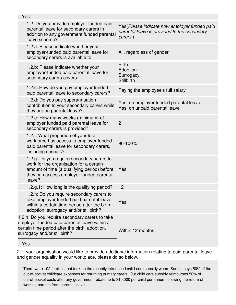| Yes                                                                                                                                                                              |                                                                                                                                                                                           |                                                                                                         |
|----------------------------------------------------------------------------------------------------------------------------------------------------------------------------------|-------------------------------------------------------------------------------------------------------------------------------------------------------------------------------------------|---------------------------------------------------------------------------------------------------------|
|                                                                                                                                                                                  |                                                                                                                                                                                           |                                                                                                         |
|                                                                                                                                                                                  | 1.2: Do you provide employer funded paid<br>parental leave for secondary carers in<br>addition to any government funded parental<br>leave scheme?                                         | Yes(Please indicate how employer funded paid<br>parental leave is provided to the secondary<br>carers.) |
|                                                                                                                                                                                  | 1.2.a: Please indicate whether your<br>employer-funded paid parental leave for<br>secondary carers is available to:                                                                       | All, regardless of gender                                                                               |
|                                                                                                                                                                                  | 1.2.b: Please indicate whether your<br>employer-funded paid parental leave for<br>secondary carers covers:                                                                                | <b>Birth</b><br>Adoption<br>Surrogacy<br><b>Stillbirth</b>                                              |
|                                                                                                                                                                                  | 1.2.c: How do you pay employer funded<br>paid parental leave to secondary carers?                                                                                                         | Paying the employee's full salary                                                                       |
|                                                                                                                                                                                  | 1.2.d: Do you pay superannuation<br>contribution to your secondary carers while<br>they are on parental leave?                                                                            | Yes, on employer funded parental leave<br>Yes, on unpaid parental leave                                 |
|                                                                                                                                                                                  | 1.2.e: How many weeks (minimum) of<br>employer funded paid parental leave for<br>secondary carers is provided?                                                                            | $\overline{2}$                                                                                          |
|                                                                                                                                                                                  | 1.2.f: What proportion of your total<br>workforce has access to employer funded<br>paid parental leave for secondary carers,<br>including casuals?                                        | 90-100%                                                                                                 |
|                                                                                                                                                                                  | 1.2.g: Do you require secondary carers to<br>work for the organisation for a certain<br>amount of time (a qualifying period) before<br>they can access employer funded parental<br>leave? | Yes                                                                                                     |
|                                                                                                                                                                                  | 1.2.g.1: How long is the qualifying period?                                                                                                                                               | 12                                                                                                      |
|                                                                                                                                                                                  | 1.2.h: Do you require secondary carers to<br>take employer funded paid parental leave<br>within a certain time period after the birth,<br>adoption, surrogacy and/or stillbirth?          | Yes                                                                                                     |
| 1.2.h: Do you require secondary carers to take<br>employer funded paid parental leave within a<br>certain time period after the birth, adoption,<br>surrogacy and/or stillbirth? |                                                                                                                                                                                           | Within 12 months                                                                                        |
|                                                                                                                                                                                  |                                                                                                                                                                                           |                                                                                                         |

<sup>..</sup> Yes

2: If your organisation would like to provide additional information relating to paid parental leave and gender equality in your workplace, please do so below.

There were 102 families that took up the recently introduced child-care subsidy where Santos pays 50% of the out-of-pocket childcare expenses for returning primary carers. Our child care subsidy reimburses 50% of out-of-pocket costs after any government rebate up to \$10,000 per child per annum following the return of working parents from parental leave.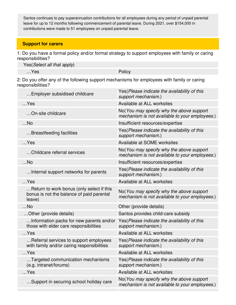Santos continues to pay superannuation contributions for all employees during any period of unpaid parental leave for up to 12 months following commencement of parental leave. During 2021, over \$154,000 in contributions were made to 51 employees on unpaid parental leave.

#### **Support for carers**

1: Do you have a formal policy and/or formal strategy to support employees with family or caring responsibilities?

| Yes (Select all that apply) |        |
|-----------------------------|--------|
| …Yes                        | Policy |

2: Do you offer any of the following support mechanisms for employees with family or caring responsibilities?

| Employer subsidised childcare                                                                    | Yes(Please indicate the availability of this<br>support mechanism.)                        |
|--------------------------------------------------------------------------------------------------|--------------------------------------------------------------------------------------------|
| $$ Yes                                                                                           | Available at ALL worksites                                                                 |
| On-site childcare                                                                                | No(You may specify why the above support<br>mechanism is not available to your employees.) |
| $$ No                                                                                            | Insufficient resources/expertise                                                           |
| Breastfeeding facilities                                                                         | Yes(Please indicate the availability of this<br>support mechanism.)                        |
| $$ Yes                                                                                           | Available at SOME worksites                                                                |
| Childcare referral services                                                                      | No(You may specify why the above support<br>mechanism is not available to your employees.) |
| $$ No                                                                                            | Insufficient resources/expertise                                                           |
| Internal support networks for parents                                                            | Yes (Please indicate the availability of this<br>support mechanism.)                       |
| $$ Yes                                                                                           | Available at ALL worksites                                                                 |
| Return to work bonus (only select if this<br>bonus is not the balance of paid parental<br>leave) | No(You may specify why the above support<br>mechanism is not available to your employees.) |
| $$ No                                                                                            | Other (provide details)                                                                    |
| Other (provide details)                                                                          | Santos provides child-care subsidy                                                         |
| Information packs for new parents and/or<br>those with elder care responsibilities               | Yes(Please indicate the availability of this<br>support mechanism.)                        |
| $$ Yes                                                                                           | Available at ALL worksites                                                                 |
| Referral services to support employees<br>with family and/or caring responsibilities             | Yes (Please indicate the availability of this<br>support mechanism.)                       |
| $$ Yes                                                                                           | Available at ALL worksites                                                                 |
| Targeted communication mechanisms<br>(e.g. intranet/forums)                                      | Yes(Please indicate the availability of this<br>support mechanism.)                        |
| $$ Yes                                                                                           | Available at ALL worksites                                                                 |
| Support in securing school holiday care                                                          | No(You may specify why the above support<br>mechanism is not available to your employees.) |
|                                                                                                  |                                                                                            |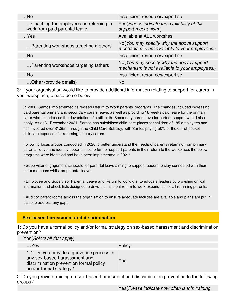| $$ No                                                                   | Insufficient resources/expertise                                                            |
|-------------------------------------------------------------------------|---------------------------------------------------------------------------------------------|
| Coaching for employees on returning to<br>work from paid parental leave | Yes (Please indicate the availability of this<br>support mechanism.)                        |
| $$ Yes                                                                  | Available at ALL worksites                                                                  |
| Parenting workshops targeting mothers                                   | No (You may specify why the above support<br>mechanism is not available to your employees.) |
| $$ No                                                                   | Insufficient resources/expertise                                                            |
| Parenting workshops targeting fathers                                   | No(You may specify why the above support<br>mechanism is not available to your employees.)  |
| $$ No                                                                   | Insufficient resources/expertise                                                            |
| Other (provide details)                                                 | No                                                                                          |

3: If your organisation would like to provide additional information relating to support for carers in your workplace, please do so below.

In 2020, Santos implemented its revised Return to Work parents' programs. The changes included increasing paid parental primary and secondary carers leave, as well as providing 18 weeks paid leave for the primary carer who experiences the devastation of a still birth. Secondary carer leave for partner support would also apply. As at 31 December 2021, Santos has subsidised child-care places for children of 185 employees and has invested over \$1.35m through the Child Care Subsidy, with Santos paying 50% of the out-of-pocket childcare expenses for returning primary carers.

Following focus groups conducted in 2020 to better understand the needs of parents returning from primary parental leave and identify opportunities to further support parents in their return to the workplace, the below programs were identified and have been implemented in 2021:

• Supervisor engagement schedule for parental leave aiming to support leaders to stay connected with their team members whilst on parental leave.

• Employee and Supervisor Parental Leave and Return to work kits, to educate leaders by providing critical information and check lists designed to drive a consistent return to work experience for all returning parents.

• Audit of parent rooms across the organisation to ensure adequate facilities are available and plans are put in place to address any gaps.

#### **Sex-based harassment and discrimination**

1: Do you have a formal policy and/or formal strategy on sex-based harassment and discrimination prevention?

#### Yes(Select all that apply)

| $$ Yes                                                                                                                                            | Policy |
|---------------------------------------------------------------------------------------------------------------------------------------------------|--------|
| 1.1: Do you provide a grievance process in<br>any sex-based harasssment and<br>discrimination prevention formal policy<br>and/or formal strategy? | Yes    |

2: Do you provide training on sex-based harassment and discrimination prevention to the following groups?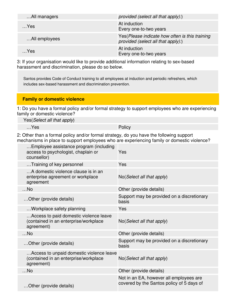| All managers  | provided (select all that apply):)                                                    |
|---------------|---------------------------------------------------------------------------------------|
| $$ Yes        | At induction<br>Every one-to-two years                                                |
| All employees | Yes (Please indicate how often is this training<br>provided (select all that apply):) |
| Yes           | At induction<br>Every one-to-two years                                                |

3: If your organisation would like to provide additional information relating to sex-based harassment and discrimination, please do so below.

Santos provides Code of Conduct training to all employees at induction and periodic refreshers, which includes sex-based harassment and discrimination prevention.

#### **Family or domestic violence**

1: Do you have a formal policy and/or formal strategy to support employees who are experiencing family or domestic violence?

Yes(Select all that apply)

…Yes Policy

2: Other than a formal policy and/or formal strategy, do you have the following support mechanisms in place to support employees who are experiencing family or domestic violence?

| Employee assistance program (including<br>access to psychologist, chaplain or<br>counsellor)    | Yes                                                                                  |
|-------------------------------------------------------------------------------------------------|--------------------------------------------------------------------------------------|
| Training of key personnel                                                                       | Yes                                                                                  |
| A domestic violence clause is in an<br>enterprise agreement or workplace<br>agreement           | No(Select all that apply)                                                            |
| $$ No                                                                                           | Other (provide details)                                                              |
| Other (provide details)                                                                         | Support may be provided on a discretionary<br>basis                                  |
| Workplace safety planning                                                                       | Yes                                                                                  |
| Access to paid domestic violence leave<br>(contained in an enterprise/workplace<br>agreement)   | No (Select all that apply)                                                           |
| $$ No                                                                                           | Other (provide details)                                                              |
| Other (provide details)                                                                         | Support may be provided on a discretionary<br>basis                                  |
| Access to unpaid domestic violence leave<br>(contained in an enterprise/workplace<br>agreement) | No(Select all that apply)                                                            |
| $$ No                                                                                           | Other (provide details)                                                              |
| Other (provide details)                                                                         | Not in an EA, however all employees are<br>covered by the Santos policy of 5 days of |